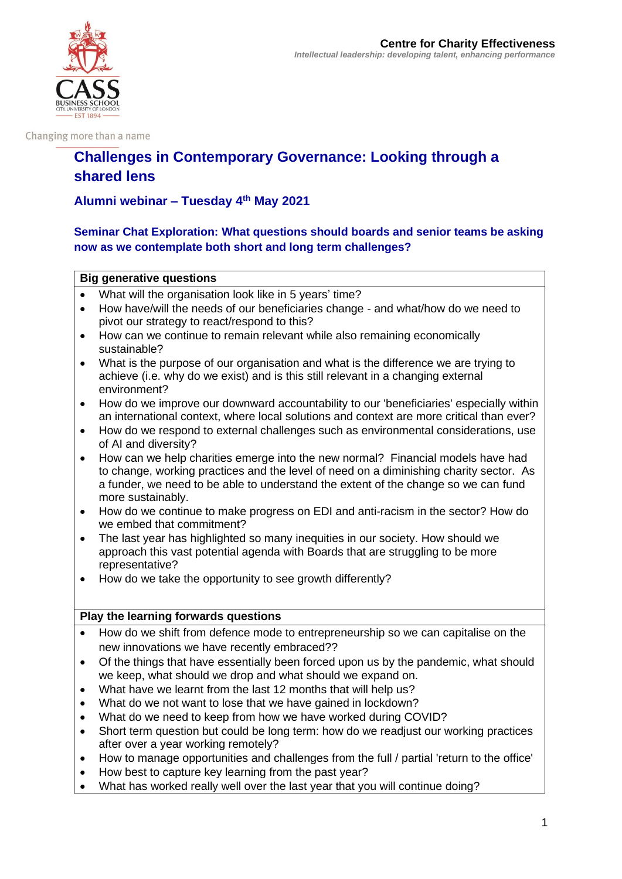

Changing more than a name

# **Challenges in Contemporary Governance: Looking through a shared lens**

## **Alumni webinar – Tuesday 4th May 2021**

## **Seminar Chat Exploration: What questions should boards and senior teams be asking now as we contemplate both short and long term challenges?**

### **Big generative questions**

- What will the organisation look like in 5 years' time?
- How have/will the needs of our beneficiaries change and what/how do we need to pivot our strategy to react/respond to this?
- How can we continue to remain relevant while also remaining economically sustainable?
- What is the purpose of our organisation and what is the difference we are trying to achieve (i.e. why do we exist) and is this still relevant in a changing external environment?
- How do we improve our downward accountability to our 'beneficiaries' especially within an international context, where local solutions and context are more critical than ever?
- How do we respond to external challenges such as environmental considerations, use of AI and diversity?
- How can we help charities emerge into the new normal? Financial models have had to change, working practices and the level of need on a diminishing charity sector. As a funder, we need to be able to understand the extent of the change so we can fund more sustainably.
- How do we continue to make progress on EDI and anti-racism in the sector? How do we embed that commitment?
- The last year has highlighted so many inequities in our society. How should we approach this vast potential agenda with Boards that are struggling to be more representative?
- How do we take the opportunity to see growth differently?

## **Play the learning forwards questions**

- How do we shift from defence mode to entrepreneurship so we can capitalise on the new innovations we have recently embraced??
- Of the things that have essentially been forced upon us by the pandemic, what should we keep, what should we drop and what should we expand on.
- What have we learnt from the last 12 months that will help us?
- What do we not want to lose that we have gained in lockdown?
- What do we need to keep from how we have worked during COVID?
- Short term question but could be long term: how do we readjust our working practices after over a year working remotely?
- How to manage opportunities and challenges from the full / partial 'return to the office'
- How best to capture key learning from the past year?
- What has worked really well over the last year that you will continue doing?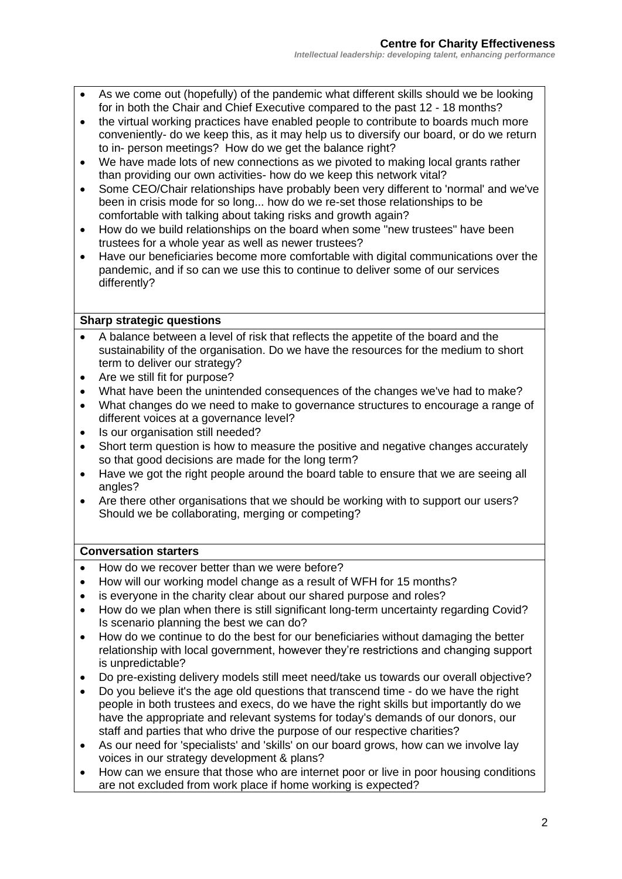- As we come out (hopefully) of the pandemic what different skills should we be looking for in both the Chair and Chief Executive compared to the past 12 - 18 months?
- the virtual working practices have enabled people to contribute to boards much more conveniently- do we keep this, as it may help us to diversify our board, or do we return to in- person meetings? How do we get the balance right?
- We have made lots of new connections as we pivoted to making local grants rather than providing our own activities- how do we keep this network vital?
- Some CEO/Chair relationships have probably been very different to 'normal' and we've been in crisis mode for so long... how do we re-set those relationships to be comfortable with talking about taking risks and growth again?
- How do we build relationships on the board when some "new trustees" have been trustees for a whole year as well as newer trustees?
- Have our beneficiaries become more comfortable with digital communications over the pandemic, and if so can we use this to continue to deliver some of our services differently?

#### **Sharp strategic questions**

- A balance between a level of risk that reflects the appetite of the board and the sustainability of the organisation. Do we have the resources for the medium to short term to deliver our strategy?
- Are we still fit for purpose?
- What have been the unintended consequences of the changes we've had to make?
- What changes do we need to make to governance structures to encourage a range of different voices at a governance level?
- Is our organisation still needed?
- Short term question is how to measure the positive and negative changes accurately so that good decisions are made for the long term?
- Have we got the right people around the board table to ensure that we are seeing all angles?
- Are there other organisations that we should be working with to support our users? Should we be collaborating, merging or competing?

## **Conversation starters**

- How do we recover better than we were before?
- How will our working model change as a result of WFH for 15 months?
- is everyone in the charity clear about our shared purpose and roles?
- How do we plan when there is still significant long-term uncertainty regarding Covid? Is scenario planning the best we can do?
- How do we continue to do the best for our beneficiaries without damaging the better relationship with local government, however they're restrictions and changing support is unpredictable?
- Do pre-existing delivery models still meet need/take us towards our overall objective?
- Do you believe it's the age old questions that transcend time do we have the right people in both trustees and execs, do we have the right skills but importantly do we have the appropriate and relevant systems for today's demands of our donors, our staff and parties that who drive the purpose of our respective charities?
- As our need for 'specialists' and 'skills' on our board grows, how can we involve lay voices in our strategy development & plans?
- How can we ensure that those who are internet poor or live in poor housing conditions are not excluded from work place if home working is expected?